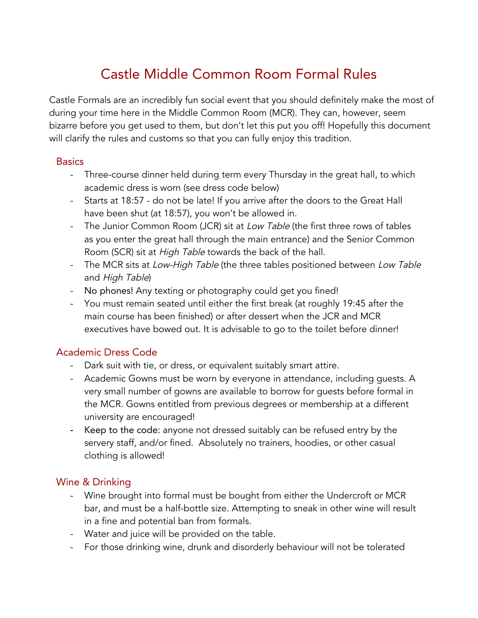# Castle Middle Common Room Formal Rules

Castle Formals are an incredibly fun social event that you should definitely make the most of during your time here in the Middle Common Room (MCR). They can, however, seem bizarre before you get used to them, but don't let this put you off! Hopefully this document will clarify the rules and customs so that you can fully enjoy this tradition.

#### **Basics**

- Three-course dinner held during term every Thursday in the great hall, to which academic dress is worn (see dress code below)
- Starts at 18:57 do not be late! If you arrive after the doors to the Great Hall have been shut (at 18:57), you won't be allowed in.
- The Junior Common Room (JCR) sit at Low Table (the first three rows of tables as you enter the great hall through the main entrance) and the Senior Common Room (SCR) sit at High Table towards the back of the hall.
- The MCR sits at Low-High Table (the three tables positioned between Low Table and High Table)
- No phones! Any texting or photography could get you fined!
- You must remain seated until either the first break (at roughly 19:45 after the main course has been finished) or after dessert when the JCR and MCR executives have bowed out. It is advisable to go to the toilet before dinner!

### Academic Dress Code

- Dark suit with tie, or dress, or equivalent suitably smart attire.
- Academic Gowns must be worn by everyone in attendance, including guests. A very small number of gowns are available to borrow for guests before formal in the MCR. Gowns entitled from previous degrees or membership at a different university are encouraged!
- Keep to the code: anyone not dressed suitably can be refused entry by the servery staff, and/or fined. Absolutely no trainers, hoodies, or other casual clothing is allowed!

### Wine & Drinking

- Wine brought into formal must be bought from either the Undercroft or MCR bar, and must be a half-bottle size. Attempting to sneak in other wine will result in a fine and potential ban from formals.
- Water and juice will be provided on the table.
- For those drinking wine, drunk and disorderly behaviour will not be tolerated